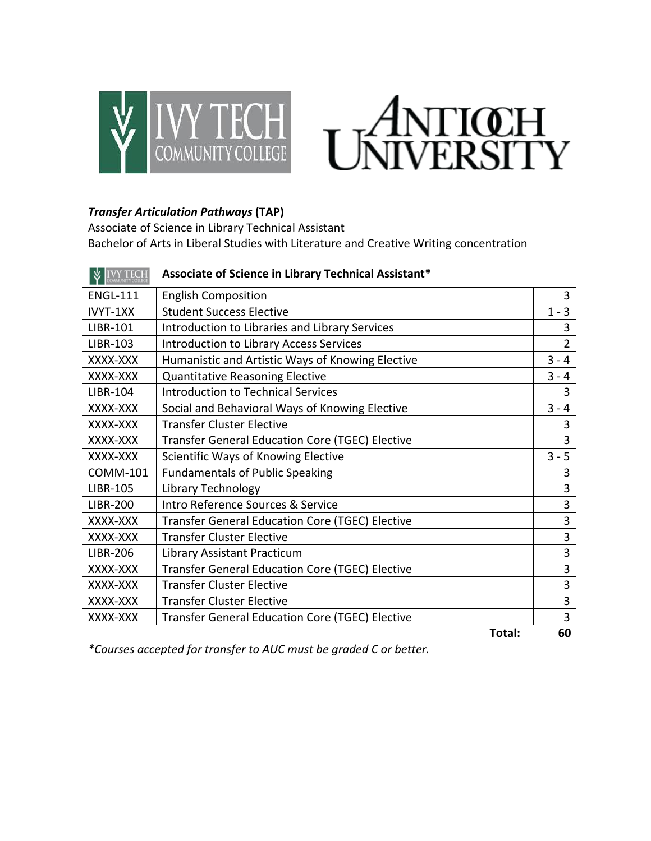



## *Transfer Articulation Pathways* **(TAP)**

Associate of Science in Library Technical Assistant Bachelor of Arts in Liberal Studies with Literature and Creative Writing concentration

|                 | Associate of Science in Library Technical Assistant*   |                |
|-----------------|--------------------------------------------------------|----------------|
| <b>ENGL-111</b> | <b>English Composition</b>                             | 3              |
| IVYT-1XX        | <b>Student Success Elective</b>                        | $1 - 3$        |
| <b>LIBR-101</b> | Introduction to Libraries and Library Services         | 3              |
| <b>LIBR-103</b> | <b>Introduction to Library Access Services</b>         | $\overline{2}$ |
| XXXX-XXX        | Humanistic and Artistic Ways of Knowing Elective       | $3 - 4$        |
| XXXX-XXX        | <b>Quantitative Reasoning Elective</b>                 | $3 - 4$        |
| <b>LIBR-104</b> | <b>Introduction to Technical Services</b>              | 3              |
| XXXX-XXX        | Social and Behavioral Ways of Knowing Elective         | $3 - 4$        |
| XXXX-XXX        | <b>Transfer Cluster Elective</b>                       | 3              |
| XXXX-XXX        | <b>Transfer General Education Core (TGEC) Elective</b> | 3              |
| XXXX-XXX        | Scientific Ways of Knowing Elective                    | $3 - 5$        |
| <b>COMM-101</b> | <b>Fundamentals of Public Speaking</b>                 | 3              |
| <b>LIBR-105</b> | Library Technology                                     | 3              |
| <b>LIBR-200</b> | Intro Reference Sources & Service                      | 3              |
| XXXX-XXX        | <b>Transfer General Education Core (TGEC) Elective</b> | 3              |
| XXXX-XXX        | <b>Transfer Cluster Elective</b>                       | 3              |
| <b>LIBR-206</b> | Library Assistant Practicum                            | 3              |
| XXXX-XXX        | <b>Transfer General Education Core (TGEC) Elective</b> | 3              |
| XXXX-XXX        | <b>Transfer Cluster Elective</b>                       | 3              |
| XXXX-XXX        | <b>Transfer Cluster Elective</b>                       | 3              |
| XXXX-XXX        | <b>Transfer General Education Core (TGEC) Elective</b> | 3              |
|                 | Total:                                                 | 60             |

*\*Courses accepted for transfer to AUC must be graded C or better.*